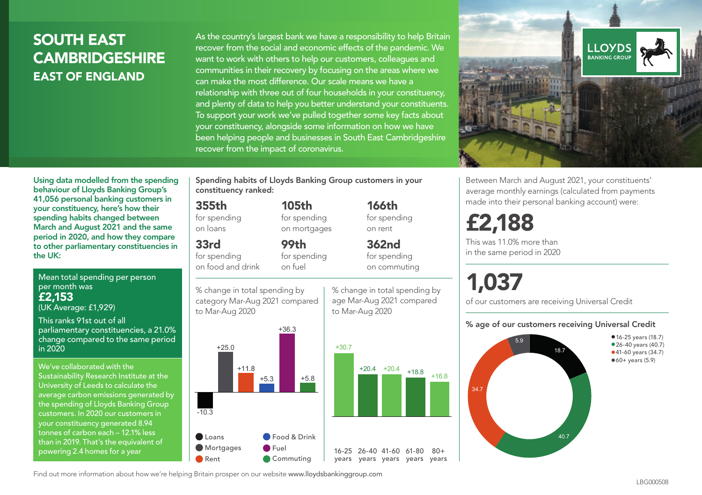## SOUTH EAST **CAMBRIDGESHIRE** EAST OF ENGLAND

As the country's largest bank we have a responsibility to help Britain recover from the social and economic effects of the pandemic. We want to work with others to help our customers, colleagues and communities in their recovery by focusing on the areas where we can make the most difference. Our scale means we have a relationship with three out of four households in your constituency, and plenty of data to help you better understand your constituents. To support your work we've pulled together some key facts about your constituency, alongside some information on how we have been helping people and businesses in South East Cambridgeshire recover from the impact of coronavirus.



Between March and August 2021, your constituents' average monthly earnings (calculated from payments made into their personal banking account) were:

## £2,188

This was 11.0% more than in the same period in 2020

# 1,037

of our customers are receiving Universal Credit

#### % age of our customers receiving Universal Credit



Using data modelled from the spending behaviour of Lloyds Banking Group's 41,056 personal banking customers in your constituency, here's how their spending habits changed between March and August 2021 and the same period in 2020, and how they compare to other parliamentary constituencies in the UK:

Mean total spending per person per month was £2,153 (UK Average: £1,929)

This ranks 91st out of all parliamentary constituencies, a 21.0% change compared to the same period in 2020

We've collaborated with the Sustainability Research Institute at the University of Leeds to calculate the average carbon emissions generated by the spending of Lloyds Banking Group customers. In 2020 our customers in your constituency generated 8.94 tonnes of carbon each – 12.1% less than in 2019. That's the equivalent of powering 2.4 homes for a year

Spending habits of Lloyds Banking Group customers in your constituency ranked:

> 105th for spending on mortgages

99th

#### 355th

for spending on loans

## 33rd

for spending on food and drink

for spending on fuel

% change in total spending by category Mar-Aug 2021 compared to Mar-Aug 2020



% change in total spending by age Mar-Aug 2021 compared

to Mar-Aug 2020

166th for spending on rent 362nd

 $80 +$ 

for spending on commuting

Find out more information about how we're helping Britain prosper on our website www.lloydsbankinggroup.com